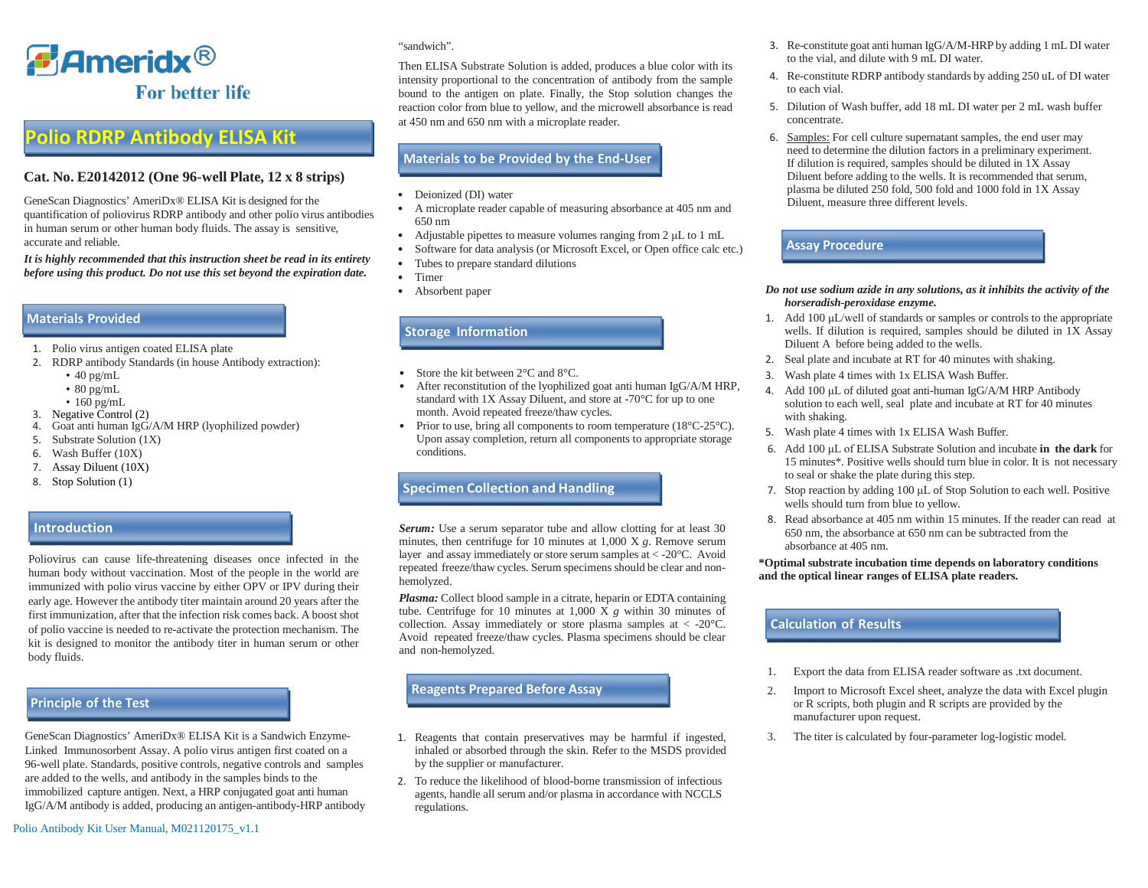

# **Polio RDRP Antibody ELISA Kit**

### **Cat. No. E20142012 (One 96-well Plate, 12 x 8 strips)**

GeneScan Diagnostics' AmeriDx® ELISA Kit is designed for the quantification of poliovirus RDRP antibody and other polio virus antibodies in human serum or other human body fluids. The assay is sensitive, accurate and reliable.

*It is highly recommended that this instruction sheet be read in its entirety before using this product. Do not use this set beyond the expiration date.*

### **Materials Provided**

- 1. Polio virus antigen coated ELISA plate
- 2. RDRP antibody Standards (in house Antibody extraction):
	- $\cdot$  40 pg/mL
	- $\cdot$  80 pg/mL
	- 160 pg/mL
- 3. Negative Control (2)
- 4. Goat anti human IgG/A/M HRP (lyophilized powder)
- 5. Substrate Solution (1X)
- 6. Wash Buffer (10X)
- 7. Assay Diluent (10X)
- 8. Stop Solution (1)

### **Introduction**

Poliovirus can cause life-threatening diseases once infected in the human body without vaccination. Most of the people in the world are immunized with polio virus vaccine by either OPV or IPV during their early age. However the antibody titer maintain around 20 years after the first immunization, after that the infection risk comes back. A boost shot of polio vaccine is needed to re-activate the protection mechanism. The kit is designed to monitor the antibody titer in human serum or other body fluids.

# **Principle of the Test**

GeneScan Diagnostics' AmeriDx® ELISA Kit is a Sandwich Enzyme-Linked Immunosorbent Assay. A polio virus antigen first coated on a 96-well plate. Standards, positive controls, negative controls and samples are added to the wells, and antibody in the samples binds to the immobilized capture antigen. Next, a HRP conjugated goat anti human IgG/A/M antibody is added, producing an antigen-antibody-HRP antibody

#### "sandwich".

Then ELISA Substrate Solution is added, produces a blue color with its intensity proportional to the concentration of antibody from the sample bound to the antigen on plate. Finally, the Stop solution changes the reaction color from blue to yellow, and the microwell absorbance is read at 450 nm and 650 nm with a microplate reader.

### **Materials to be Provided by the End-User**

- Deionized (DI) water
- A microplate reader capable of measuring absorbance at 405 nm and 650 nm
- Adjustable pipettes to measure volumes ranging from 2 μL to 1 mL
- Software for data analysis (or Microsoft Excel, or Open office calc etc.)
- Tubes to prepare standard dilutions
- Timer
- Absorbent paper

### **Storage Information**

- Store the kit between  $2^{\circ}$ C and  $8^{\circ}$ C.
- After reconstitution of the lyophilized goat anti human IgG/A/M HRP, standard with 1X Assay Diluent, and store at -70°C for up to one month. Avoid repeated freeze/thaw cycles.
- Prior to use, bring all components to room temperature (18°C-25°C). Upon assay completion, return all components to appropriate storage conditions.

## **Specimen Collection and Handling**

*Serum:* Use a serum separator tube and allow clotting for at least 30 minutes, then centrifuge for 10 minutes at 1,000 X *g*. Remove serum layer and assay immediately or store serum samples at < -20°C. Avoid repeated freeze/thaw cycles. Serum specimens should be clear and nonhemolyzed.

*Plasma:* Collect blood sample in a citrate, heparin or EDTA containing tube. Centrifuge for 10 minutes at 1,000 X *g* within 30 minutes of collection. Assay immediately or store plasma samples at  $\langle -20^{\circ} \text{C} \rangle$ . Avoid repeated freeze/thaw cycles. Plasma specimens should be clear and non-hemolyzed.

## **Reagents Prepared Before Assay**

- 1. Reagents that contain preservatives may be harmful if ingested, inhaled or absorbed through the skin. Refer to the MSDS provided by the supplier or manufacturer.
- 2. To reduce the likelihood of blood-borne transmission of infectious agents, handle all serum and/or plasma in accordance with NCCLS regulations.
- 3. Re-constitute goat anti human IgG/A/M-HRP by adding 1 mL DI water to the vial, and dilute with 9 mL DI water.
- 4. Re-constitute RDRP antibody standards by adding 250 uL of DI water to each vial.
- 5. Dilution of Wash buffer, add 18 mL DI water per 2 mL wash buffer concentrate.
- 6. Samples: For cell culture supernatant samples, the end user may need to determine the dilution factors in a preliminary experiment. If dilution is required, samples should be diluted in 1X Assay Diluent before adding to the wells. It is recommended that serum, plasma be diluted 250 fold, 500 fold and 1000 fold in 1X Assay Diluent, measure three different levels.

**Ass y Procedure Assay Procedure**

#### *Do not use sodium azide in any solutions, as it inhibits the activity of the horseradish-peroxidase enzyme.*

- 1. Add 100 μL/well of standards or samples or controls to the appropriate wells. If dilution is required, samples should be diluted in 1X Assay Diluent A before being added to the wells.
- 2. Seal plate and incubate at RT for 40 minutes with shaking.
- 3. Wash plate 4 times with 1x ELISA Wash Buffer.
- 4. Add 100 μL of diluted goat anti-human IgG/A/M HRP Antibody solution to each well, seal plate and incubate at RT for 40 minutes with shaking.
- 5. Wash plate 4 times with 1x ELISA Wash Buffer.
- 6. Add 100 μL of ELISA Substrate Solution and incubate **in the dark** for 15 minutes\*. Positive wells should turn blue in color. It is not necessary to seal or shake the plate during this step.
- 7. Stop reaction by adding 100 μL of Stop Solution to each well. Positive wells should turn from blue to yellow.
- 8. Read absorbance at 405 nm within 15 minutes. If the reader can read at 650 nm, the absorbance at 650 nm can be subtracted from the absorbance at 405 nm.

#### **\*Optimal substrate incubation time depends on laboratory conditions and the optical linear ranges of ELISA plate readers.**

# **Calculation of Results**

- 1. Export the data from ELISA reader software as .txt document.
- 2. Import to Microsoft Excel sheet, analyze the data with Excel plugin or R scripts, both plugin and R scripts are provided by the manufacturer upon request.
- 3. The titer is calculated by four-parameter log-logistic model.